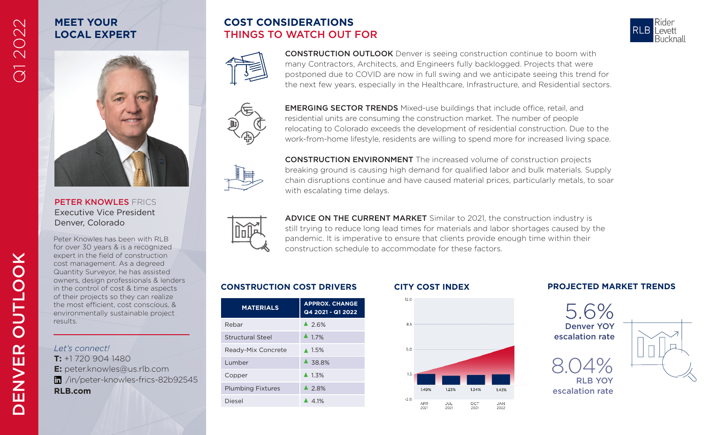# Q1 2022

## **MEET YOUR LOCAL EXPERT**

## **COST CONSIDERATIONS** THINGS TO WATCH OUT FOR





CONSTRUCTION OUTLOOK Denver is seeing construction continue to boom with many Contractors, Architects, and Engineers fully backlogged. Projects that were postponed due to COVID are now in full swing and we anticipate seeing this trend for the next few years, especially in the Healthcare, Infrastructure, and Residential sectors.



EMERGING SECTOR TRENDS Mixed-use buildings that include office, retail, and residential units are consuming the construction market. The number of people relocating to Colorado exceeds the development of residential construction. Due to the work-from-home lifestyle, residents are willing to spend more for increased living space.



CONSTRUCTION ENVIRONMENT The increased volume of construction projects breaking ground is causing high demand for qualified labor and bulk materials. Supply chain disruptions continue and have caused material prices, particularly metals, to soar with escalating time delays.



ADVICE ON THE CURRENT MARKET Similar to 2021, the construction industry is still trying to reduce long lead times for materials and labor shortages caused by the pandemic. It is imperative to ensure that clients provide enough time within their construction schedule to accommodate for these factors.

| <b>MATERIALS</b>         | <b>APPROX, CHANGE</b><br>Q4 2021 - Q1 2022 |
|--------------------------|--------------------------------------------|
| Rebar                    | 42.6%                                      |
| <b>Structural Steel</b>  | $\blacktriangle$ 17%                       |
| Ready-Mix Concrete       | $\triangle$ 1.5%                           |
| Lumber                   | $\triangle$ 38.8%                          |
| Copper                   | $\triangle$ 1.3%                           |
| <b>Plumbing Fixtures</b> | $\triangle$ 28%                            |
| Diesel                   | $\triangle$ 41%                            |



### **CONSTRUCTION COST DRIVERS CITY COST INDEX PROJECTED MARKET TRENDS**





Peter Knowles has been with RLB for over 30 years & is a recognized expert in the field of construction cost management. As a degreed Quantity Surveyor, he has assisted owners, design professionals & lenders in the control of cost & time aspects of their projects so they can realize the most efficient, cost conscious, & environmentally sustainable project results.

**E:** peter.knowles@us.rlb.com /in/peter-knowles-frics-82b92545

*Let's connect!* **T:** +1 720 904 1480

**RLB.com**

PETER KNOWLES FRICS Executive Vice President Denver, Colorado